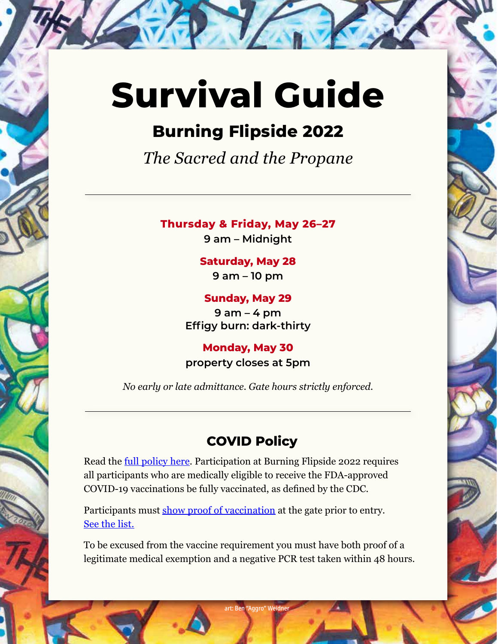# **Survival Guide**

# **Burning Flipside 2022**

*The Sacred and the Propane*

**Thursday & Friday, May 26–27**

**9 am – Midnight**

# **Saturday, May 28**

**9 am – 10 pm**

**Sunday, May 29 9 am – 4 pm Effigy burn: dark-thirty**

**Monday, May 30 property closes at 5pm**

*No early or late admittance. Gate hours strictly enforced.*

# **COVID Policy**

Read the [full policy here](https://www.burningflipside.com/2022-covid-policy). Participation at Burning Flipside 2022 requires all participants who are medically eligible to receive the FDA-approved COVID-19 vaccinations be fully vaccinated, as defined by the CDC.

Participants must [show proof of vaccination](https://www.burningflipside.com/2022-covid-policy) at the gate prior to entry. [See the list.](https://www.burningflipside.com/2022-covid-policy)

To be excused from the vaccine requirement you must have both proof of a legitimate medical exemption and a negative PCR test taken within 48 hours.

art: Ben "Aggro" Weidner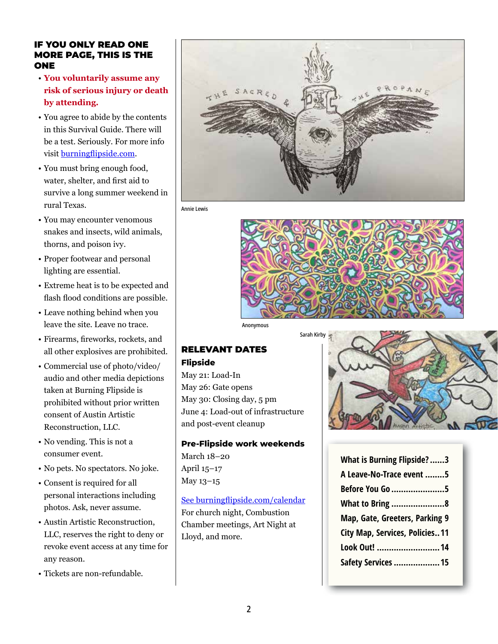#### IF YOU ONLY READ ONE MORE PAGE, THIS IS THE ONE

- **You voluntarily assume any risk of serious injury or death by attending.**
- You agree to abide by the contents in this Survival Guide. There will be a test. Seriously. For more info visit [burningflipside.com](https://burningflipside.com).
- You must bring enough food, water, shelter, and first aid to survive a long summer weekend in rural Texas.
- You may encounter venomous snakes and insects, wild animals, thorns, and poison ivy.
- Proper footwear and personal lighting are essential.
- Extreme heat is to be expected and flash flood conditions are possible.
- Leave nothing behind when you leave the site. Leave no trace.
- Firearms, fireworks, rockets, and all other explosives are prohibited.
- Commercial use of photo/video/ audio and other media depictions taken at Burning Flipside is prohibited without prior written consent of Austin Artistic Reconstruction, LLC.
- No vending. This is not a consumer event.
- No pets. No spectators. No joke.
- Consent is required for all personal interactions including photos. Ask, never assume.
- Austin Artistic Reconstruction, LLC, reserves the right to deny or revoke event access at any time for any reason.
- Tickets are non-refundable.



Annie Lewis



Anonymous

# RELEVANT DATES

#### **Flipside**

May 21: Load-In May 26: Gate opens May 30: Closing day, 5 pm June 4: Load-out of infrastructure and post-event cleanup

**Pre-Flipside work weekends**  March 18–20

April 15–17 May 13–15

See [burningflipside.com/calendar](https://www.burningflipside.com/24-7-360) For church night, Combustion Chamber meetings, Art Night at Lloyd, and more.



| <b>What is Burning Flipside?3</b> |
|-----------------------------------|
| A Leave-No-Trace event 5          |
| Before You Go 5                   |
| <b>What to Bring 8</b>            |
| Map, Gate, Greeters, Parking 9    |
| City Map, Services, Policies11    |
| Look Out! 14                      |
| <b>Safety Services  15</b>        |
|                                   |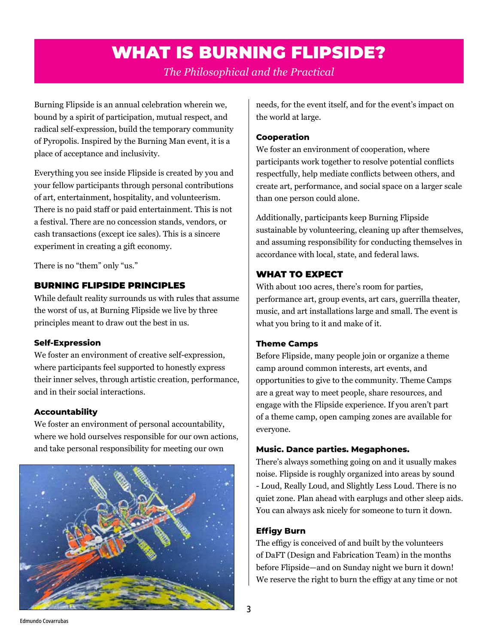# WHAT IS BURNING FLIPSIDE?

*The Philosophical and the Practical*

<span id="page-2-0"></span>Burning Flipside is an annual celebration wherein we, bound by a spirit of participation, mutual respect, and radical self-expression, build the temporary community of Pyropolis. Inspired by the Burning Man event, it is a place of acceptance and inclusivity.

Everything you see inside Flipside is created by you and your fellow participants through personal contributions of art, entertainment, hospitality, and volunteerism. There is no paid staff or paid entertainment. This is not a festival. There are no concession stands, vendors, or cash transactions (except ice sales). This is a sincere experiment in creating a gift economy.

There is no "them" only "us."

# BURNING FLIPSIDE PRINCIPLES

While default reality surrounds us with rules that assume the worst of us, at Burning Flipside we live by three principles meant to draw out the best in us.

#### **Self-Expression**

We foster an environment of creative self-expression, where participants feel supported to honestly express their inner selves, through artistic creation, performance, and in their social interactions.

# **Accountability**

We foster an environment of personal accountability, where we hold ourselves responsible for our own actions, and take personal responsibility for meeting our own



needs, for the event itself, and for the event's impact on the world at large.

#### **Cooperation**

We foster an environment of cooperation, where participants work together to resolve potential conflicts respectfully, help mediate conflicts between others, and create art, performance, and social space on a larger scale than one person could alone.

Additionally, participants keep Burning Flipside sustainable by volunteering, cleaning up after themselves, and assuming responsibility for conducting themselves in accordance with local, state, and federal laws.

# WHAT TO EXPECT

With about 100 acres, there's room for parties, performance art, group events, art cars, guerrilla theater, music, and art installations large and small. The event is what you bring to it and make of it.

#### **Theme Camps**

Before Flipside, many people join or organize a theme camp around common interests, art events, and opportunities to give to the community. Theme Camps are a great way to meet people, share resources, and engage with the Flipside experience. If you aren't part of a theme camp, open camping zones are available for everyone.

#### **Music. Dance parties. Megaphones.**

There's always something going on and it usually makes noise. Flipside is roughly organized into areas by sound - Loud, Really Loud, and Slightly Less Loud. There is no quiet zone. Plan ahead with earplugs and other sleep aids. You can always ask nicely for someone to turn it down.

#### **Effigy Burn**

The effigy is conceived of and built by the volunteers of DaFT (Design and Fabrication Team) in the months before Flipside—and on Sunday night we burn it down! We reserve the right to burn the effigy at any time or not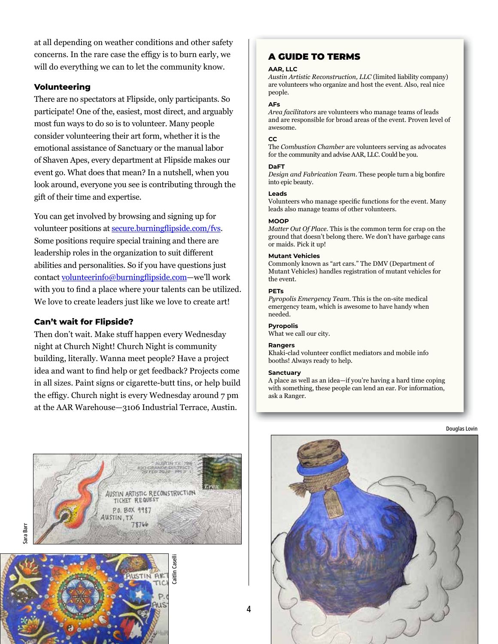at all depending on weather conditions and other safety concerns. In the rare case the effigy is to burn early, we will do everything we can to let the community know.

#### **Volunteering**

There are no spectators at Flipside, only participants. So participate! One of the, easiest, most direct, and arguably most fun ways to do so is to volunteer. Many people consider volunteering their art form, whether it is the emotional assistance of Sanctuary or the manual labor of Shaven Apes, every department at Flipside makes our event go. What does that mean? In a nutshell, when you look around, everyone you see is contributing through the gift of their time and expertise.

You can get involved by browsing and signing up for volunteer positions at [secure.burningflipside.com/fvs](http://secure.burningflipside.com/fvs). Some positions require special training and there are leadership roles in the organization to suit different abilities and personalities. So if you have questions just contact [volunteerinfo@burningflipside.com](mailto:volunteerinfo%40burningflipside.com?subject=I%20want%20to%20volunteer%21)—we'll work with you to find a place where your talents can be utilized. We love to create leaders just like we love to create art!

#### **Can't wait for Flipside?**

Then don't wait. Make stuff happen every Wednesday night at Church Night! Church Night is community building, literally. Wanna meet people? Have a project idea and want to find help or get feedback? Projects come in all sizes. Paint signs or cigarette-butt tins, or help build the effigy. Church night is every Wednesday around 7 pm at the AAR Warehouse—3106 Industrial Terrace, Austin.

# Sara Barr



# **AAR, LLC**

A GUIDE TO TERMS

*Austin Artistic Reconstruction, LLC* (limited liability company) are volunteers who organize and host the event. Also, real nice people.

#### **AFs**

*Area facilitators* are volunteers who manage teams of leads and are responsible for broad areas of the event. Proven level of awesome.

#### **CC**

The *Combustion Chamber* are volunteers serving as advocates for the community and advise AAR, LLC. Could be you.

#### **DaFT**

*Design and Fabrication Team*. These people turn a big bonfire into epic beauty.

#### **Leads**

Volunteers who manage specific functions for the event. Many leads also manage teams of other volunteers.

#### **MOOP**

*Matter Out Of Place*. This is the common term for crap on the ground that doesn't belong there. We don't have garbage cans or maids. Pick it up!

#### **Mutant Vehicles**

Commonly known as "art cars." The DMV (Department of Mutant Vehicles) handles registration of mutant vehicles for the event.

#### **PETs**

*Pyropolis Emergency Team*. This is the on-site medical emergency team, which is awesome to have handy when needed.

#### **Pyropolis**

What we call our city.

#### **Rangers**

Khaki-clad volunteer conflict mediators and mobile info booths! Always ready to help.

#### **Sanctuary**

A place as well as an idea—if you're having a hard time coping with something, these people can lend an ear. For information, ask a Ranger.



4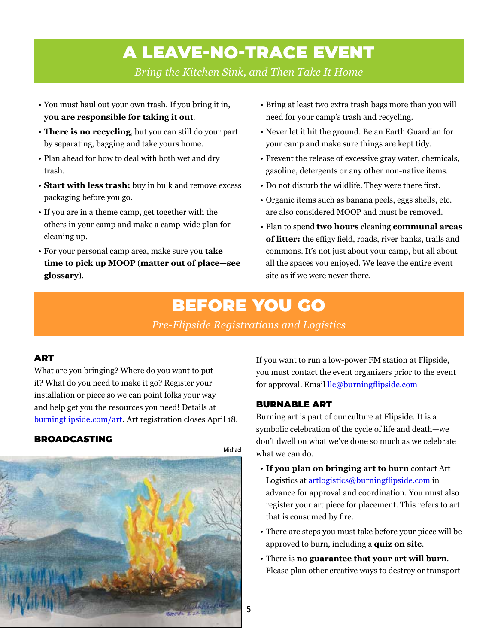# A LEAVE-NO-TRACE EVENT

*Bring the Kitchen Sink, and Then Take It Home*

- <span id="page-4-0"></span>• You must haul out your own trash. If you bring it in, **you are responsible for taking it out**.
- **There is no recycling**, but you can still do your part by separating, bagging and take yours home.
- Plan ahead for how to deal with both wet and dry trash.
- **Start with less trash:** buy in bulk and remove excess packaging before you go.
- If you are in a theme camp, get together with the others in your camp and make a camp-wide plan for cleaning up.
- For your personal camp area, make sure you **take time to pick up MOOP** (**matter out of place—see glossary**).
- Bring at least two extra trash bags more than you will need for your camp's trash and recycling.
- Never let it hit the ground. Be an Earth Guardian for your camp and make sure things are kept tidy.
- Prevent the release of excessive gray water, chemicals, gasoline, detergents or any other non-native items.
- Do not disturb the wildlife. They were there first.
- Organic items such as banana peels, eggs shells, etc. are also considered MOOP and must be removed.
- Plan to spend **two hours** cleaning **communal areas of litter:** the effigy field, roads, river banks, trails and commons. It's not just about your camp, but all about all the spaces you enjoyed. We leave the entire event site as if we were never there.

# BEFORE YOU GO

*Pre-Flipside Registrations and Logistics*

#### ART

What are you bringing? Where do you want to put it? What do you need to make it go? Register your installation or piece so we can point folks your way and help get you the resources you need! Details at [burningflipside.com/art](https://burningflipside.com/art). Art registration closes April 18.

#### BROADCASTING



If you want to run a low-power FM station at Flipside, you must contact the event organizers prior to the event for approval. Email [llc@burningflipside.com](mailto:llc%40burningflipside.com?subject=)

#### BURNABLE ART

Burning art is part of our culture at Flipside. It is a symbolic celebration of the cycle of life and death—we don't dwell on what we've done so much as we celebrate what we can do.

- **If you plan on bringing art to burn** contact Art Logistics at artlogistics@burningflipside.com in advance for approval and coordination. You must also register your art piece for placement. This refers to art that is consumed by fire.
- There are steps you must take before your piece will be approved to burn, including a **quiz on site**.
- There is **no guarantee that your art will burn**. Please plan other creative ways to destroy or transport

5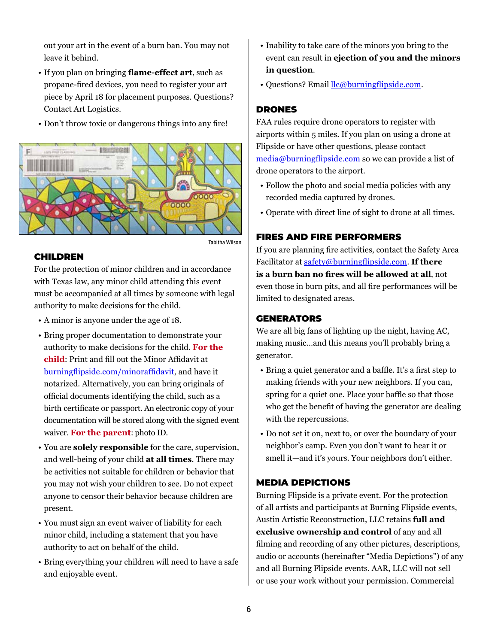out your art in the event of a burn ban. You may not leave it behind.

- If you plan on bringing **flame-effect art**, such as propane-fired devices, you need to register your art piece by April 18 for placement purposes. Questions? Contact Art Logistics.
- Don't throw toxic or dangerous things into any fire!



#### CHILDREN

For the protection of minor children and in accordance with Texas law, any minor child attending this event must be accompanied at all times by someone with legal authority to make decisions for the child.

- A minor is anyone under the age of 18.
- Bring proper documentation to demonstrate your authority to make decisions for the child. **For the child**: Print and fill out the Minor Affidavit at [burningflipside.com/minoraffidavit](https://burningflipside.com/minoraffidavit), and have it notarized. Alternatively, you can bring originals of official documents identifying the child, such as a birth certificate or passport. An electronic copy of your documentation will be stored along with the signed event waiver. **For the parent**: photo ID.
- You are **solely responsible** for the care, supervision, and well-being of your child **at all times**. There may be activities not suitable for children or behavior that you may not wish your children to see. Do not expect anyone to censor their behavior because children are present.
- You must sign an event waiver of liability for each minor child, including a statement that you have authority to act on behalf of the child.
- Bring everything your children will need to have a safe and enjoyable event.
- Inability to take care of the minors you bring to the event can result in **ejection of you and the minors in question**.
- Ouestions? Email llc@burningflipside.com.

# DRONES

FAA rules require drone operators to register with airports within 5 miles. If you plan on using a drone at Flipside or have other questions, please contact media@burningflipside.com so we can provide a list of drone operators to the airport.

- Follow the photo and social media policies with any recorded media captured by drones.
- Operate with direct line of sight to drone at all times.

# FIRES AND FIRE PERFORMERS

If you are planning fire activities, contact the Safety Area Facilitator at safety@burningflipside.com. **If there is a burn ban no fires will be allowed at all**, not even those in burn pits, and all fire performances will be limited to designated areas.

### **GENERATORS**

We are all big fans of lighting up the night, having AC, making music…and this means you'll probably bring a generator.

- Bring a quiet generator and a baffle. It's a first step to making friends with your new neighbors. If you can, spring for a quiet one. Place your baffle so that those who get the benefit of having the generator are dealing with the repercussions.
- Do not set it on, next to, or over the boundary of your neighbor's camp. Even you don't want to hear it or smell it—and it's yours. Your neighbors don't either.

# MEDIA DEPICTIONS

Burning Flipside is a private event. For the protection of all artists and participants at Burning Flipside events, Austin Artistic Reconstruction, LLC retains **full and exclusive ownership and control** of any and all filming and recording of any other pictures, descriptions, audio or accounts (hereinafter "Media Depictions") of any and all Burning Flipside events. AAR, LLC will not sell or use your work without your permission. Commercial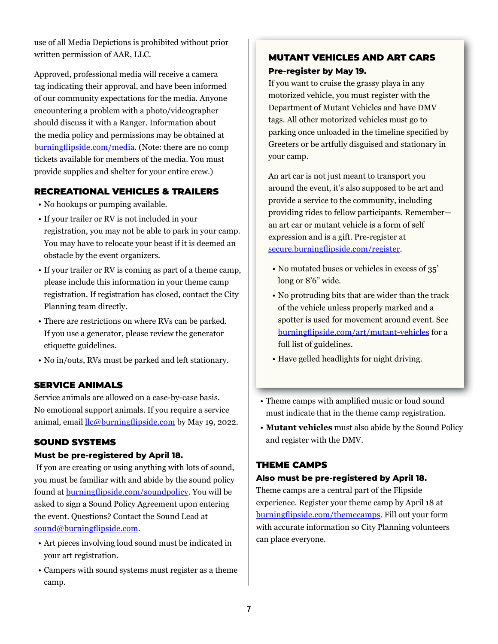use of all Media Depictions is prohibited without prior written permission of AAR, LLC.

Approved, professional media will receive a camera tag indicating their approval, and have been informed of our community expectations for the media. Anyone encountering a problem with a photo/videographer should discuss it with a Ranger. Information about the media policy and permissions may be obtained at [burningflipside.com/media](https://burningflipside.com/media). (Note: there are no comp tickets available for members of the media. You must provide supplies and shelter for your entire crew.)

# RECREATIONAL VEHICLES & TRAILERS

- No hookups or pumping available.
- If your trailer or RV is not included in your registration, you may not be able to park in your camp. You may have to relocate your beast if it is deemed an obstacle by the event organizers.
- If your trailer or RV is coming as part of a theme camp, please include this information in your theme camp registration. If registration has closed, contact the City Planning team directly.
- There are restrictions on where RVs can be parked. If you use a generator, please review the generator etiquette guidelines.
- No in/outs, RVs must be parked and left stationary.

# SERVICE ANIMALS

Service animals are allowed on a case-by-case basis. No emotional support animals. If you require a service animal, email  $\frac{\text{llc}\omega$  burningflipside.com by May 19, 2022.

# SOUND SYSTEMS

#### **Must be pre-registered by April 18.**

 If you are creating or using anything with lots of sound, you must be familiar with and abide by the sound policy found at [burningflipside.com/soundpolicy](https://burningflipside.com/soundpolicy). You will be asked to sign a Sound Policy Agreement upon entering the event. Questions? Contact the Sound Lead at [sound@burningflipside.com](mailto:sound%40burningflipside.com?subject=).

- Art pieces involving loud sound must be indicated in your art registration.
- Campers with sound systems must register as a theme camp.

# MUTANT VEHICLES AND ART CARS **Pre-register by May 19.**

If you want to cruise the grassy playa in any motorized vehicle, you must register with the Department of Mutant Vehicles and have DMV tags. All other motorized vehicles must go to parking once unloaded in the timeline specified by Greeters or be artfully disguised and stationary in your camp.

An art car is not just meant to transport you around the event, it's also supposed to be art and provide a service to the community, including providing rides to fellow participants. Remember an art car or mutant vehicle is a form of self expression and is a gift. Pre-register at [secure.burningflipside.com/register](https://secure.burningflipside.com/register).

- No mutated buses or vehicles in excess of 35' long or 8'6" wide.
- No protruding bits that are wider than the track of the vehicle unless properly marked and a spotter is used for movement around event. See [burningflipside.com/art/mutant-vehicles](https://burningflipside.com/art/mutant-vehicles) for a full list of guidelines.
- Have gelled headlights for night driving.
- Theme camps with amplified music or loud sound must indicate that in the theme camp registration.
- **Mutant vehicles** must also abide by the Sound Policy and register with the DMV.

# THEME CAMPS

# **Also must be pre-registered by April 18.**

Theme camps are a central part of the Flipside experience. Register your theme camp by April 18 at [burningflipside.com/themecamps](http://burningflipside.com/themecamps). Fill out your form with accurate information so City Planning volunteers can place everyone.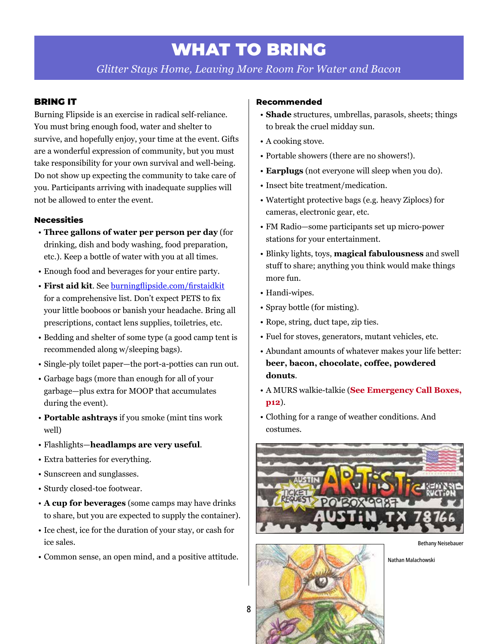# WHAT TO BRING

*Glitter Stays Home, Leaving More Room For Water and Bacon*

### <span id="page-7-0"></span>BRING IT

Burning Flipside is an exercise in radical self-reliance. You must bring enough food, water and shelter to survive, and hopefully enjoy, your time at the event. Gifts are a wonderful expression of community, but you must take responsibility for your own survival and well-being. Do not show up expecting the community to take care of you. Participants arriving with inadequate supplies will not be allowed to enter the event.

#### **Necessities**

- **Three gallons of water per person per day** (for drinking, dish and body washing, food preparation, etc.). Keep a bottle of water with you at all times.
- Enough food and beverages for your entire party.
- **First aid kit**. See [burningflipside.com/firstaidkit](https://burningflipside.com/firstaidkit) for a comprehensive list. Don't expect PETS to fix your little booboos or banish your headache. Bring all prescriptions, contact lens supplies, toiletries, etc.
- Bedding and shelter of some type (a good camp tent is recommended along w/sleeping bags).
- Single-ply toilet paper—the port-a-potties can run out.
- Garbage bags (more than enough for all of your garbage—plus extra for MOOP that accumulates during the event).
- **Portable ashtrays** if you smoke (mint tins work well)
- Flashlights—**headlamps are very useful**.
- Extra batteries for everything.
- Sunscreen and sunglasses.
- Sturdy closed-toe footwear.
- **A cup for beverages** (some camps may have drinks to share, but you are expected to supply the container).
- Ice chest, ice for the duration of your stay, or cash for ice sales.
- Common sense, an open mind, and a positive attitude.

#### **Recommended**

- **Shade** structures, umbrellas, parasols, sheets; things to break the cruel midday sun.
- A cooking stove.
- Portable showers (there are no showers!).
- **Earplugs** (not everyone will sleep when you do).
- Insect bite treatment/medication.
- Watertight protective bags (e.g. heavy Ziplocs) for cameras, electronic gear, etc.
- FM Radio—some participants set up micro-power stations for your entertainment.
- Blinky lights, toys, **magical fabulousness** and swell stuff to share; anything you think would make things more fun.
- Handi-wipes.
- Spray bottle (for misting).
- Rope, string, duct tape, zip ties.
- Fuel for stoves, generators, mutant vehicles, etc.
- Abundant amounts of whatever makes your life better: **beer, bacon, chocolate, coffee, powdered donuts**.
- A MURS walkie-talkie (**See Emergency Call Boxes, p12**).
- Clothing for a range of weather conditions. And costumes.



Bethany Neisebauer



8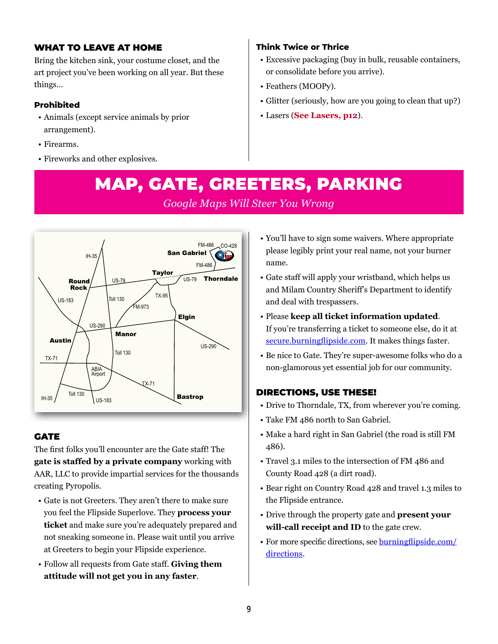# <span id="page-8-0"></span>WHAT TO LEAVE AT HOME

Bring the kitchen sink, your costume closet, and the art project you've been working on all year. But these things…

# **Prohibited**

- Animals (except service animals by prior arrangement).
- Firearms.
- Fireworks and other explosives.

# **Think Twice or Thrice**

- Excessive packaging (buy in bulk, reusable containers, or consolidate before you arrive).
- Feathers (MOOPy).
- Glitter (seriously, how are you going to clean that up?)
- Lasers (**See Lasers, p12**).

# MAP, GATE, GREETERS, PARKING *Google Maps Will Steer You Wrong*



# **GATE**

The first folks you'll encounter are the Gate staff! The **gate is staffed by a private company** working with AAR, LLC to provide impartial services for the thousands creating Pyropolis.

- Gate is not Greeters. They aren't there to make sure you feel the Flipside Superlove. They **process your ticket** and make sure you're adequately prepared and not sneaking someone in. Please wait until you arrive at Greeters to begin your Flipside experience.
- Follow all requests from Gate staff. **Giving them attitude will not get you in any faster**.
- You'll have to sign some waivers. Where appropriate please legibly print your real name, not your burner name.
- Gate staff will apply your wristband, which helps us and Milam Country Sheriff's Department to identify and deal with trespassers.
- Please **keep all ticket information updated**. If you're transferring a ticket to someone else, do it at [secure.burningflipside.com](https://secure.burningflipside.com). It makes things faster.
- Be nice to Gate. They're super-awesome folks who do a non-glamorous yet essential job for our community.

# DIRECTIONS, USE THESE!

- Drive to Thorndale, TX, from wherever you're coming.
- Take FM 486 north to San Gabriel.
- Make a hard right in San Gabriel (the road is still FM 486).
- Travel 3.1 miles to the intersection of FM 486 and County Road 428 (a dirt road).
- Bear right on Country Road 428 and travel 1.3 miles to the Flipside entrance.
- Drive through the property gate and **present your will-call receipt and ID** to the gate crew.
- For more specific directions, see [burningflipside.com/](https://burningflipside.com/directions) [directions](https://burningflipside.com/directions).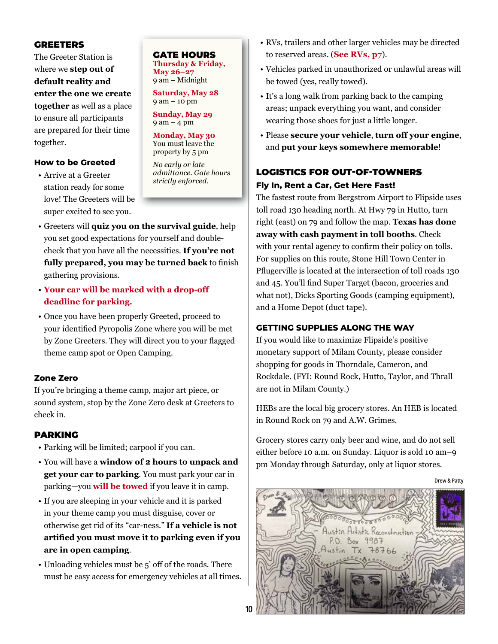### GREETERS

The Greeter Station is where we **step out of default reality and enter the one we create together** as well as a place to ensure all participants are prepared for their time together.

#### **How to be Greeted**

• Arrive at a Greeter station ready for some love! The Greeters will be super excited to see you.

GATE HOURS **Thursday & Friday, May 26–27** 9 am – Midnight

**Saturday, May 28** 9 am – 10 pm

**Sunday, May 29** 9 am – 4 pm

**Monday, May 30** You must leave the property by 5 pm

*No early or late admittance. Gate hours strictly enforced.*

- Greeters will **quiz you on the survival guide**, help you set good expectations for yourself and doublecheck that you have all the necessities. **If you're not fully prepared, you may be turned back** to finish gathering provisions.
- **Your car will be marked with a drop-off deadline for parking.**
- Once you have been properly Greeted, proceed to your identified Pyropolis Zone where you will be met by Zone Greeters. They will direct you to your flagged theme camp spot or Open Camping.

#### **Zone Zero**

If you're bringing a theme camp, major art piece, or sound system, stop by the Zone Zero desk at Greeters to check in.

#### PARKING

- Parking will be limited; carpool if you can.
- You will have a **window of 2 hours to unpack and get your car to parking**. You must park your car in parking—you **will be towed** if you leave it in camp.
- If you are sleeping in your vehicle and it is parked in your theme camp you must disguise, cover or otherwise get rid of its "car-ness." **If a vehicle is not artified you must move it to parking even if you are in open camping**.
- Unloading vehicles must be 5' off of the roads. There must be easy access for emergency vehicles at all times.
- RVs, trailers and other larger vehicles may be directed to reserved areas. (**See RVs, p7**).
- Vehicles parked in unauthorized or unlawful areas will be towed (yes, really towed).
- It's a long walk from parking back to the camping areas; unpack everything you want, and consider wearing those shoes for just a little longer.
- Please **secure your vehicle**, **turn off your engine**, and **put your keys somewhere memorable**!

# LOGISTICS FOR OUT-OF-TOWNERS **Fly In, Rent a Car, Get Here Fast!**

The fastest route from Bergstrom Airport to Flipside uses toll road 130 heading north. At Hwy 79 in Hutto, turn right (east) on 79 and follow the map. **Texas has done away with cash payment in toll booths**. Check with your rental agency to confirm their policy on tolls. For supplies on this route, Stone Hill Town Center in Pflugerville is located at the intersection of toll roads 130 and 45. You'll find Super Target (bacon, groceries and what not), Dicks Sporting Goods (camping equipment), and a Home Depot (duct tape).

#### **GETTING SUPPLIES ALONG THE WAY**

If you would like to maximize Flipside's positive monetary support of Milam County, please consider shopping for goods in Thorndale, Cameron, and Rockdale. (FYI: Round Rock, Hutto, Taylor, and Thrall are not in Milam County.)

HEBs are the local big grocery stores. An HEB is located in Round Rock on 79 and A.W. Grimes.

Grocery stores carry only beer and wine, and do not sell either before 10 a.m. on Sunday. Liquor is sold 10 am–9 pm Monday through Saturday, only at liquor stores.

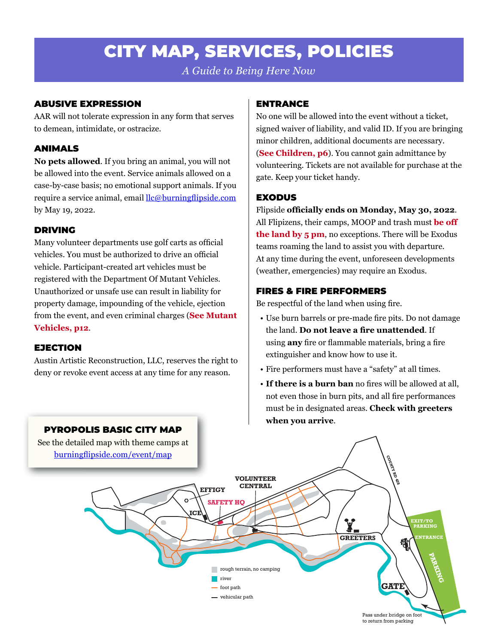# CITY MAP, SERVICES, POLICIES

*A Guide to Being Here Now*

# <span id="page-10-0"></span>ABUSIVE EXPRESSION

AAR will not tolerate expression in any form that serves to demean, intimidate, or ostracize.

# ANIMALS

**No pets allowed**. If you bring an animal, you will not be allowed into the event. Service animals allowed on a case-by-case basis; no emotional support animals. If you require a service animal, email llc@burningflipside.com by May 19, 2022.

# DRIVING

Many volunteer departments use golf carts as official vehicles. You must be authorized to drive an official vehicle. Participant-created art vehicles must be registered with the Department Of Mutant Vehicles. Unauthorized or unsafe use can result in liability for property damage, impounding of the vehicle, ejection from the event, and even criminal charges (**See Mutant Vehicles, p12**.

# EJECTION

Austin Artistic Reconstruction, LLC, reserves the right to deny or revoke event access at any time for any reason.

# ENTRANCE

No one will be allowed into the event without a ticket, signed waiver of liability, and valid ID. If you are bringing minor children, additional documents are necessary. (**See Children, p6**). You cannot gain admittance by volunteering. Tickets are not available for purchase at the gate. Keep your ticket handy.

# EXODUS

Flipside **officially ends on Monday, May 30, 2022**. All Flipizens, their camps, MOOP and trash must **be off the land by 5 pm**, no exceptions. There will be Exodus teams roaming the land to assist you with departure. At any time during the event, unforeseen developments (weather, emergencies) may require an Exodus.

# FIRES & FIRE PERFORMERS

Be respectful of the land when using fire.

- Use burn barrels or pre-made fire pits. Do not damage the land. **Do not leave a fire unattended**. If using **any** fire or flammable materials, bring a fire extinguisher and know how to use it.
- Fire performers must have a "safety" at all times.
- **If there is a burn ban** no fires will be allowed at all, not even those in burn pits, and all fire performances must be in designated areas. **Check with greeters when you arrive**.



# PYROPOLIS BASIC CITY MAP

See the detailed map with theme camps at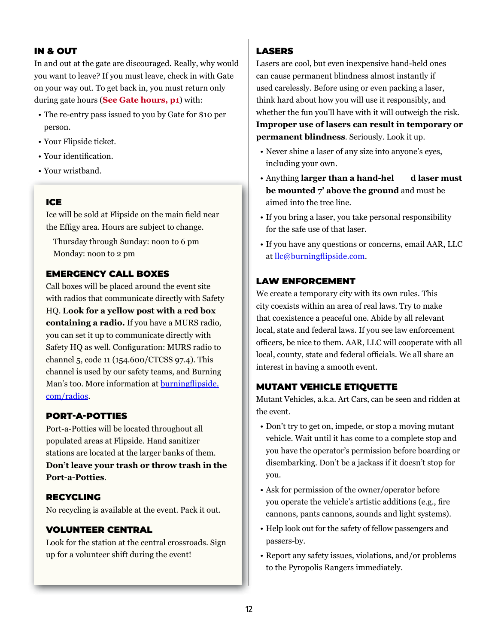# IN & OUT

In and out at the gate are discouraged. Really, why would you want to leave? If you must leave, check in with Gate on your way out. To get back in, you must return only during gate hours (**See Gate hours, p1**) with:

- The re-entry pass issued to you by Gate for \$10 per person.
- Your Flipside ticket.
- Your identification.
- Your wristband.

#### ICE

Ice will be sold at Flipside on the main field near the Effigy area. Hours are subject to change.

Thursday through Sunday: noon to 6 pm Monday: noon to 2 pm

### EMERGENCY CALL BOXES

Call boxes will be placed around the event site with radios that communicate directly with Safety HQ. **Look for a yellow post with a red box containing a radio.** If you have a MURS radio, you can set it up to communicate directly with Safety HQ as well. Configuration: MURS radio to channel 5, code 11 (154.600/CTCSS 97.4). This channel is used by our safety teams, and Burning Man's too. More information at [burningflipside.](https://burningflipside.com/radios) [com/radios](https://burningflipside.com/radios).

#### PORT-A-POTTIES

Port-a-Potties will be located throughout all populated areas at Flipside. Hand sanitizer stations are located at the larger banks of them. **Don't leave your trash or throw trash in the Port-a-Potties**.

#### RECYCLING

No recycling is available at the event. Pack it out.

#### VOLUNTEER CENTRAL

Look for the station at the central crossroads. Sign up for a volunteer shift during the event!

### LASERS

Lasers are cool, but even inexpensive hand-held ones can cause permanent blindness almost instantly if used carelessly. Before using or even packing a laser, think hard about how you will use it responsibly, and whether the fun you'll have with it will outweigh the risk. **Improper use of lasers can result in temporary or permanent blindness**. Seriously. Look it up.

- Never shine a laser of any size into anyone's eyes, including your own.
- Anything **larger than a hand-hel d laser must be mounted 7' above the ground** and must be aimed into the tree line.
- If you bring a laser, you take personal responsibility for the safe use of that laser.
- If you have any questions or concerns, email AAR, LLC at [llc@burningflipside.com](mailto:llc%40burningflipside.com?subject=).

#### LAW ENFORCEMENT

We create a temporary city with its own rules. This city coexists within an area of real laws. Try to make that coexistence a peaceful one. Abide by all relevant local, state and federal laws. If you see law enforcement officers, be nice to them. AAR, LLC will cooperate with all local, county, state and federal officials. We all share an interest in having a smooth event.

#### MUTANT VEHICLE ETIQUETTE

Mutant Vehicles, a.k.a. Art Cars, can be seen and ridden at the event.

- Don't try to get on, impede, or stop a moving mutant vehicle. Wait until it has come to a complete stop and you have the operator's permission before boarding or disembarking. Don't be a jackass if it doesn't stop for you.
- Ask for permission of the owner/operator before you operate the vehicle's artistic additions (e.g., fire cannons, pants cannons, sounds and light systems).
- Help look out for the safety of fellow passengers and passers-by.
- Report any safety issues, violations, and/or problems to the Pyropolis Rangers immediately.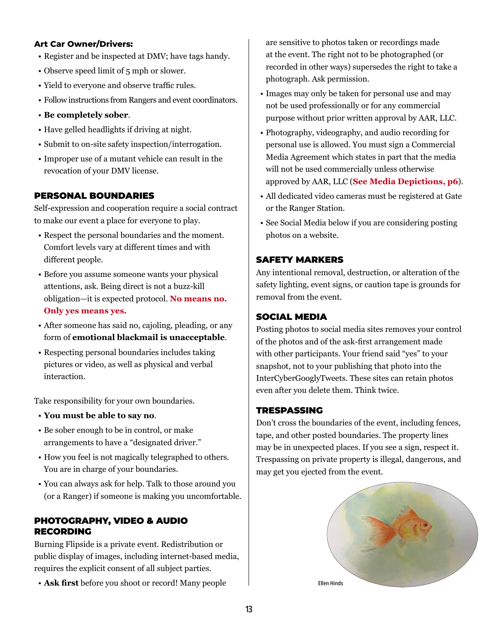#### **Art Car Owner/Drivers:**

- Register and be inspected at DMV; have tags handy.
- Observe speed limit of 5 mph or slower.
- Yield to everyone and observe traffic rules.
- Follow instructions from Rangers and event coordinators.
- **Be completely sober**.
- Have gelled headlights if driving at night.
- Submit to on-site safety inspection/interrogation.
- Improper use of a mutant vehicle can result in the revocation of your DMV license.

#### PERSONAL BOUNDARIES

Self-expression and cooperation require a social contract to make our event a place for everyone to play.

- Respect the personal boundaries and the moment. Comfort levels vary at different times and with different people.
- Before you assume someone wants your physical attentions, ask. Being direct is not a buzz-kill obligation—it is expected protocol. **No means no. Only yes means yes.**
- After someone has said no, cajoling, pleading, or any form of **emotional blackmail is unacceptable**.
- Respecting personal boundaries includes taking pictures or video, as well as physical and verbal interaction.

Take responsibility for your own boundaries.

- **You must be able to say no**.
- Be sober enough to be in control, or make arrangements to have a "designated driver."
- How you feel is not magically telegraphed to others. You are in charge of your boundaries.
- You can always ask for help. Talk to those around you (or a Ranger) if someone is making you uncomfortable.

#### PHOTOGRAPHY, VIDEO & AUDIO RECORDING

Burning Flipside is a private event. Redistribution or public display of images, including internet-based media, requires the explicit consent of all subject parties.

• **Ask first** before you shoot or record! Many people

are sensitive to photos taken or recordings made at the event. The right not to be photographed (or recorded in other ways) supersedes the right to take a photograph. Ask permission.

- Images may only be taken for personal use and may not be used professionally or for any commercial purpose without prior written approval by AAR, LLC.
- Photography, videography, and audio recording for personal use is allowed. You must sign a Commercial Media Agreement which states in part that the media will not be used commercially unless otherwise approved by AAR, LLC (**See Media Depictions, p6**).
- All dedicated video cameras must be registered at Gate or the Ranger Station.
- See Social Media below if you are considering posting photos on a website.

#### SAFETY MARKERS

Any intentional removal, destruction, or alteration of the safety lighting, event signs, or caution tape is grounds for removal from the event.

#### SOCIAL MEDIA

Posting photos to social media sites removes your control of the photos and of the ask-first arrangement made with other participants. Your friend said "yes" to your snapshot, not to your publishing that photo into the InterCyberGooglyTweets. These sites can retain photos even after you delete them. Think twice.

#### **TRESPASSING**

Don't cross the boundaries of the event, including fences, tape, and other posted boundaries. The property lines may be in unexpected places. If you see a sign, respect it. Trespassing on private property is illegal, dangerous, and may get you ejected from the event.

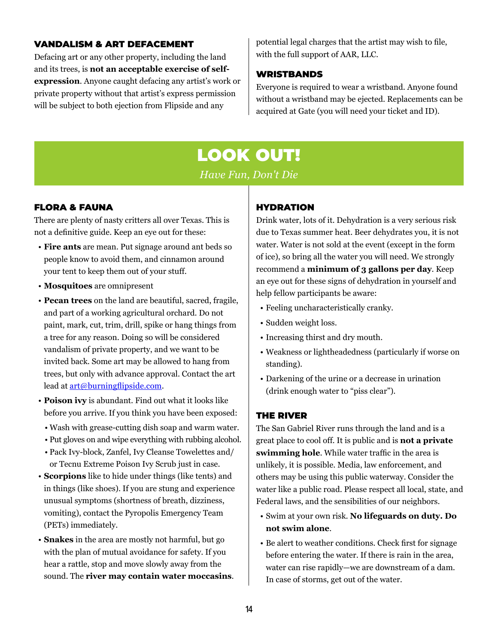### <span id="page-13-0"></span>VANDALISM & ART DEFACEMENT

Defacing art or any other property, including the land and its trees, is **not an acceptable exercise of selfexpression**. Anyone caught defacing any artist's work or private property without that artist's express permission will be subject to both ejection from Flipside and any

potential legal charges that the artist may wish to file, with the full support of AAR, LLC.

#### WRISTBANDS

Everyone is required to wear a wristband. Anyone found without a wristband may be ejected. Replacements can be acquired at Gate (you will need your ticket and ID).

# LOOK OUT!

*Have Fun, Don't Die*

### FLORA & FAUNA

There are plenty of nasty critters all over Texas. This is not a definitive guide. Keep an eye out for these:

- **Fire ants** are mean. Put signage around ant beds so people know to avoid them, and cinnamon around your tent to keep them out of your stuff.
- **Mosquitoes** are omnipresent
- **Pecan trees** on the land are beautiful, sacred, fragile, and part of a working agricultural orchard. Do not paint, mark, cut, trim, drill, spike or hang things from a tree for any reason. Doing so will be considered vandalism of private property, and we want to be invited back. Some art may be allowed to hang from trees, but only with advance approval. Contact the art lead at **[art@burningflipside.com](mailto:art%40burningflipside.com?subject=)**.
- **Poison ivy** is abundant. Find out what it looks like before you arrive. If you think you have been exposed:
	- Wash with grease-cutting dish soap and warm water.
	- Put gloves on and wipe everything with rubbing alcohol.
	- Pack Ivy-block, Zanfel, Ivy Cleanse Towelettes and/ or Tecnu Extreme Poison Ivy Scrub just in case.
- **Scorpions** like to hide under things (like tents) and in things (like shoes). If you are stung and experience unusual symptoms (shortness of breath, dizziness, vomiting), contact the Pyropolis Emergency Team (PETs) immediately.
- **Snakes** in the area are mostly not harmful, but go with the plan of mutual avoidance for safety. If you hear a rattle, stop and move slowly away from the sound. The **river may contain water moccasins**.

# HYDRATION

Drink water, lots of it. Dehydration is a very serious risk due to Texas summer heat. Beer dehydrates you, it is not water. Water is not sold at the event (except in the form of ice), so bring all the water you will need. We strongly recommend a **minimum of 3 gallons per day**. Keep an eye out for these signs of dehydration in yourself and help fellow participants be aware:

- Feeling uncharacteristically cranky.
- Sudden weight loss.
- Increasing thirst and dry mouth.
- Weakness or lightheadedness (particularly if worse on standing).
- Darkening of the urine or a decrease in urination (drink enough water to "piss clear").

# THE RIVER

The San Gabriel River runs through the land and is a great place to cool off. It is public and is **not a private swimming hole**. While water traffic in the area is unlikely, it is possible. Media, law enforcement, and others may be using this public waterway. Consider the water like a public road. Please respect all local, state, and Federal laws, and the sensibilities of our neighbors.

- Swim at your own risk. **No lifeguards on duty. Do not swim alone**.
- Be alert to weather conditions. Check first for signage before entering the water. If there is rain in the area, water can rise rapidly—we are downstream of a dam. In case of storms, get out of the water.